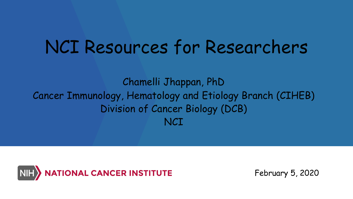# NCI Resources for Researchers

Chamelli Jhappan, PhD Cancer Immunology, Hematology and Etiology Branch (CIHEB) Division of Cancer Biology (DCB) **NCT** 



February 5, 2020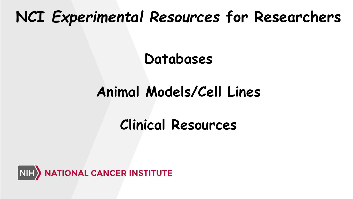## **NCI** *Experimental Resources* **for Researchers**

### **Databases**

## **Animal Models/Cell Lines**

## **Clinical Resources**

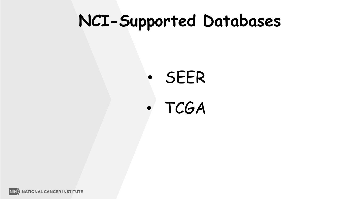## **NCI-Supported Databases**

# • SEER

## • TCGA

**NIH NATIONAL CANCER INSTITUTE**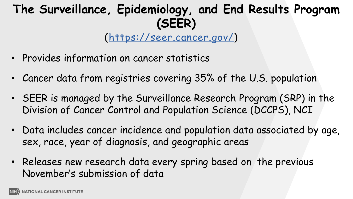### **The Surveillance, Epidemiology, and End Results Program (SEER)**

(<https://seer.cancer.gov/>)

- Provides information on cancer statistics
- Cancer data from registries covering 35% of the U.S. population
- SEER is managed by the Surveillance Research Program (SRP) in the Division of Cancer Control and Population Science (DCCPS), NCI
- Data includes cancer incidence and population data associated by age, sex, race, year of diagnosis, and geographic areas
- Releases new research data every spring based on the previous November's submission of data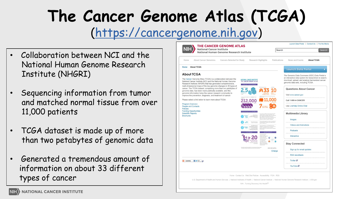## **The Cancer Genome Atlas (TCGA)** (https://cancergenome.nih.gov)

- Collaboration between NCI and the National Human Genome Research Institute (NHGRI)
- Sequencing information from tumor and matched normal tissue from over 11,000 patients
- TCGA dataset is made up of more than two petabytes of genomic data
- Generated a tremendous amount of information on about 33 different types of cancer

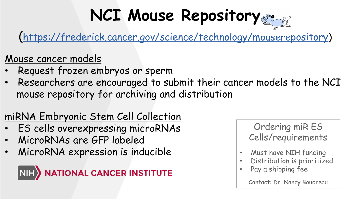# **NCI Mouse Repository**

([https://frederick.cancer.gov/science/technology/mouserepository\)](https://frederick.cancer.gov/science/technology/mouserepository)

#### Mouse cancer models

- Request frozen embryos or sperm
- Researchers are encouraged to submit their cancer models to the NCI mouse repository for archiving and distribution

### miRNA Embryonic Stem Cell Collection

- ES cells overexpressing microRNAs
- MicroRNAs are GFP labeled
- MicroRNA expression is inducible



Ordering miR ES Cells/requirements

- Must have NIH funding
- Distribution is prioritized
- Pay a shipping fee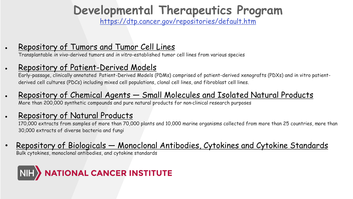### **Developmental Therapeutics Program**

<https://dtp.cancer.gov/repositories/default.htm>

#### • [Repository of Tumors and Tumor Cell Lines](https://dtp.cancer.gov/organization/btb/docs/DCTDTumorRepositoryCatalog.pdf)

Transplantable *in vivo*-derived tumors and *in vitro*-established tumor cell lines from various species

#### • [Repository of Patient-Derived Models](https://pdmr.cancer.gov/)

Early-passage, clinically annotated Patient-Derived Models (PDMs) comprised of patient-derived xenografts (PDXs) and in vitro patientderived cell cultures (PDCs) including mixed cell populations, clonal cell lines, and fibroblast cell lines.

#### • Repository of Chemical Agents — [Small Molecules and Isolated Natural Products](https://dtp.cancer.gov/organization/dscb/obtaining/default.htm)

More than 200,000 synthetic compounds and pure natural products for non-clinical research purposes

#### • [Repository of Natural Products](https://dtp.cancer.gov/organization/npb/introduction.htm)

170,000 extracts from samples of more than 70,000 plants and 10,000 marine organisms collected from more than 25 countries, more than 30,000 extracts of diverse bacteria and fungi

#### • Repository of Biologicals — [Monoclonal Antibodies, Cytokines and Cytokine Standards](https://ncifrederick.cancer.gov/Research/Brb/Home#/preclinicalRepository)

Bulk cytokines, monoclonal antibodies, and cytokine standards

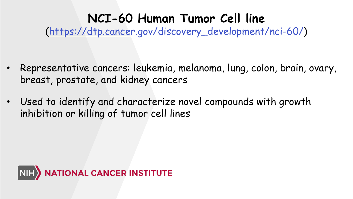### **NCI-60 Human Tumor Cell line**

[\(https://dtp.cancer.gov/discovery\\_development/nci-60/\)](https://dtp.cancer.gov/discovery_development/nci-60/)

- Representative cancers: leukemia, melanoma, lung, colon, brain, ovary, breast, prostate, and kidney cancers
- Used to identify and characterize novel compounds with growth inhibition or killing of tumor cell lines

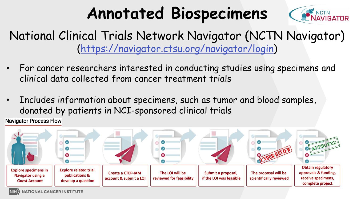# **Annotated Biospecimens**



### National Clinical Trials Network Navigator (NCTN Navigator) [\(https://navigator.ctsu.org/navigator/login](https://dtp.cancer.gov/discovery_development/nci-60/))

- For cancer researchers interested in conducting studies using specimens and clinical data collected from cancer treatment trials
- Includes information about specimens, such as tumor and blood samples, donated by patients in NCI-sponsored clinical trials

**Navigator Process Flow** 

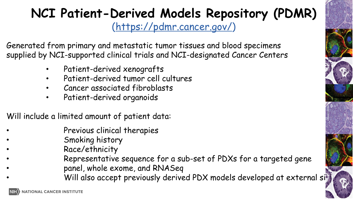### **NCI Patient-Derived Models Repository (PDMR)** (<https://pdmr.cancer.gov/>)

Generated from primary and metastatic tumor tissues and blood specimens supplied by NCI-supported clinical trials and NCI-designated Cancer Centers

- Patient-derived xenografts
- Patient-derived tumor cell cultures
- Cancer associated fibroblasts
- Patient-derived organoids

Will include a limited amount of patient data:

- Previous clinical therapies
- Smoking history
- Race/ethnicity
- Representative sequence for a sub-set of PDXs for a targeted gene
- panel, whole exome, and RNASeq
	- Will also accept previously derived PDX models developed at external sites

**10**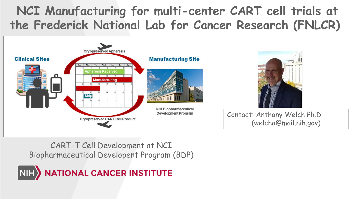### **NCI Manufacturing for multi-center CART cell trials at the Frederick National Lab for Cancer Research (FNLCR)** 1





Contact: Anthony Welch Ph.D. (welcha@mail.nih.gov)

CART-T Cell Development at NCI Biopharmaceutical Developent Program (BDP)

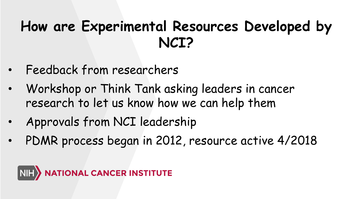## **How are Experimental Resources Developed by NCI?**

- Feedback from researchers
- Workshop or Think Tank asking leaders in cancer research to let us know how we can help them
- Approvals from NCI leadership
- PDMR process began in 2012, resource active 4/2018

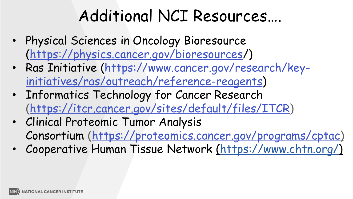# Additional NCI Resources…. <sup>1</sup>

- Physical Sciences in Oncology Bioresource (<https://physics.cancer.gov/bioresources/>)
- [Ras Initiative \(https://www.cancer.gov/research/key](https://www.cancer.gov/research/key-initiatives/ras)initiatives/ras/outreach/reference-reagents)
- Informatics Technology for Cancer Research ([https://itcr.cancer.gov/sites/default/files/ITCR\)](https://itcr.cancer.gov/sites/default/files/ITCR)
- Clinical Proteomic Tumor Analysis Consortium [\(https://proteomics.cancer.gov/programs/cptac](https://proteomics.cancer.gov/programs/cptac))
- Cooperative Human Tissue Network [\(https://www.chtn.org/](https://www.chtn.org/))